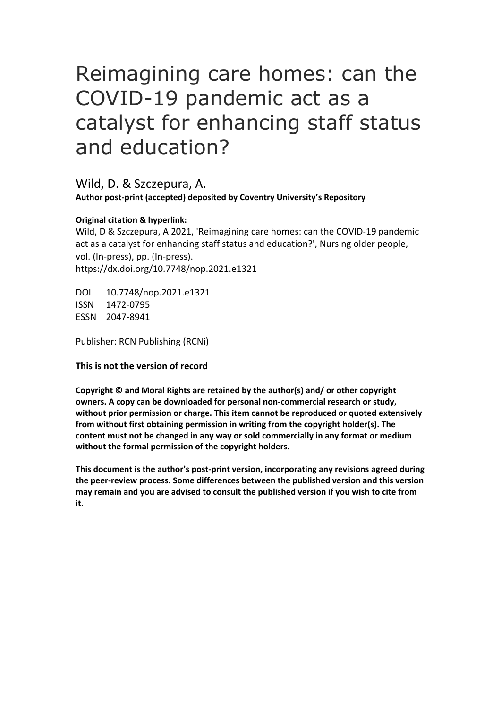# Reimagining care homes: can the COVID-19 pandemic act as a catalyst for enhancing staff status and education?

Wild, D. & Szczepura, A. **Author post-print (accepted) deposited by Coventry University's Repository**

#### **Original citation & hyperlink:**

Wild, D & Szczepura, A 2021, 'Reimagining care homes: can the COVID-19 pandemic act as a catalyst for enhancing staff status and education?', Nursing older people, vol. (In-press), pp. (In-press). https://dx.doi.org/10.7748/nop.2021.e1321

DOI 10.7748/nop.2021.e1321 ISSN 1472-0795 ESSN 2047-8941

Publisher: RCN Publishing (RCNi)

**This is not the version of record**

**Copyright © and Moral Rights are retained by the author(s) and/ or other copyright owners. A copy can be downloaded for personal non-commercial research or study, without prior permission or charge. This item cannot be reproduced or quoted extensively from without first obtaining permission in writing from the copyright holder(s). The content must not be changed in any way or sold commercially in any format or medium without the formal permission of the copyright holders.** 

**This document is the author's post-print version, incorporating any revisions agreed during the peer-review process. Some differences between the published version and this version may remain and you are advised to consult the published version if you wish to cite from it.**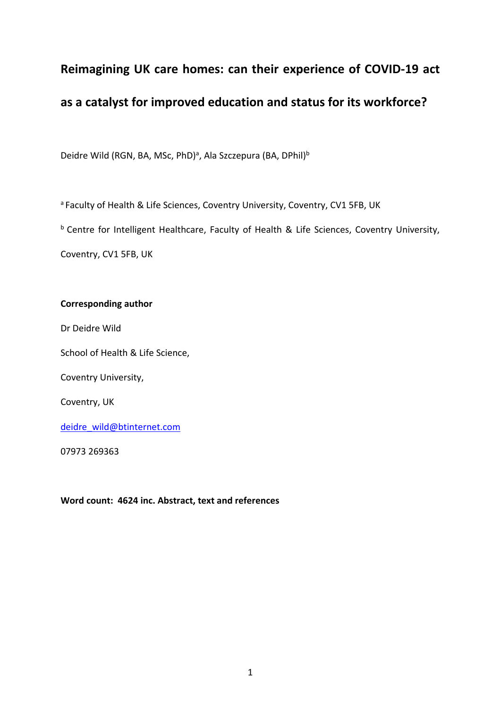### **Reimagining UK care homes: can their experience of COVID-19 act**

## **as a catalyst for improved education and status for its workforce?**

Deidre Wild (RGN, BA, MSc, PhD)<sup>a</sup>, Ala Szczepura (BA, DPhil)<sup>b</sup>

a Faculty of Health & Life Sciences, Coventry University, Coventry, CV1 5FB, UK

b Centre for Intelligent Healthcare, Faculty of Health & Life Sciences, Coventry University,

Coventry, CV1 5FB, UK

#### **Corresponding author**

Dr Deidre Wild

School of Health & Life Science,

Coventry University,

Coventry, UK

[deidre\\_wild@btinternet.com](mailto:deidre_wild@btinternet.com)

07973 269363

**Word count: 4624 inc. Abstract, text and references**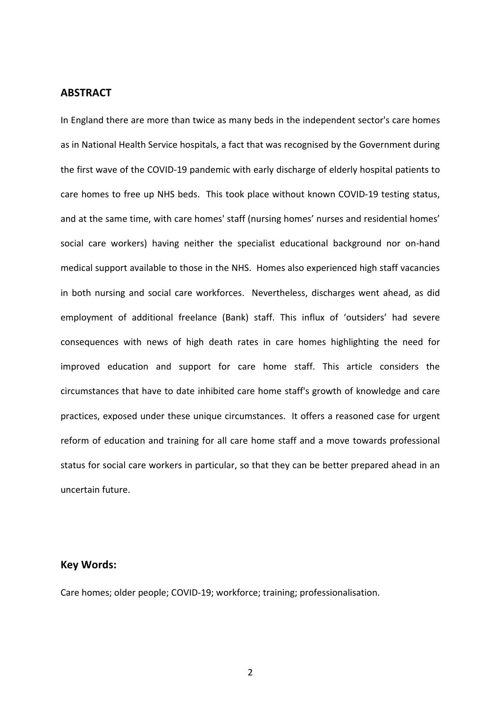#### **ABSTRACT**

In England there are more than twice as many beds in the independent sector's care homes as in National Health Service hospitals, a fact that was recognised by the Government during the first wave of the COVID-19 pandemic with early discharge of elderly hospital patients to care homes to free up NHS beds. This took place without known COVID-19 testing status, and at the same time, with care homes' staff (nursing homes' nurses and residential homes' social care workers) having neither the specialist educational background nor on-hand medical support available to those in the NHS. Homes also experienced high staff vacancies in both nursing and social care workforces. Nevertheless, discharges went ahead, as did employment of additional freelance (Bank) staff. This influx of 'outsiders' had severe consequences with news of high death rates in care homes highlighting the need for improved education and support for care home staff. This article considers the circumstances that have to date inhibited care home staff's growth of knowledge and care practices, exposed under these unique circumstances. It offers a reasoned case for urgent reform of education and training for all care home staff and a move towards professional status for social care workers in particular, so that they can be better prepared ahead in an uncertain future.

#### **Key Words:**

Care homes; older people; COVID-19; workforce; training; professionalisation.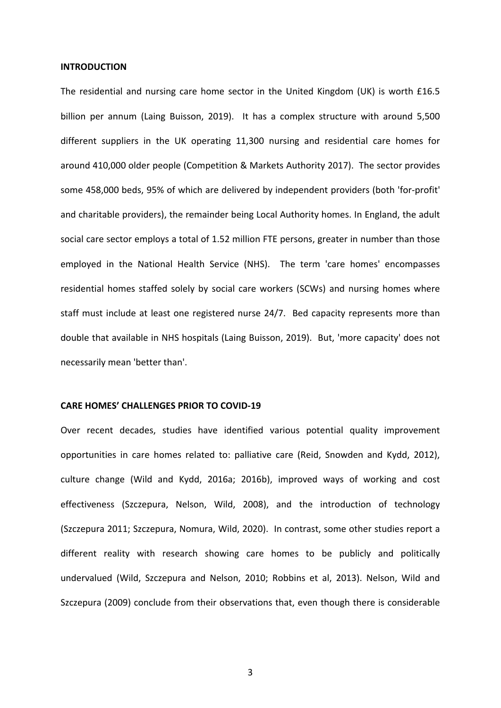#### **INTRODUCTION**

The residential and nursing care home sector in the United Kingdom (UK) is worth £16.5 billion per annum (Laing Buisson, 2019). It has a complex structure with around 5,500 different suppliers in the UK operating 11,300 nursing and residential care homes for around 410,000 older people (Competition & Markets Authority 2017). The sector provides some 458,000 beds, 95% of which are delivered by independent providers (both 'for-profit' and charitable providers), the remainder being Local Authority homes. In England, the adult social care sector employs a total of 1.52 million FTE persons, greater in number than those employed in the National Health Service (NHS). The term 'care homes' encompasses residential homes staffed solely by social care workers (SCWs) and nursing homes where staff must include at least one registered nurse 24/7. Bed capacity represents more than double that available in NHS hospitals (Laing Buisson, 2019). But, 'more capacity' does not necessarily mean 'better than'.

#### **CARE HOMES' CHALLENGES PRIOR TO COVID-19**

Over recent decades, studies have identified various potential quality improvement opportunities in care homes related to: palliative care (Reid, Snowden and Kydd, 2012), culture change (Wild and Kydd, 2016a; 2016b), improved ways of working and cost effectiveness (Szczepura, Nelson, Wild, 2008), and the introduction of technology (Szczepura 2011; Szczepura, Nomura, Wild, 2020). In contrast, some other studies report a different reality with research showing care homes to be publicly and politically undervalued (Wild, Szczepura and Nelson, 2010; Robbins et al, 2013). Nelson, Wild and Szczepura (2009) conclude from their observations that, even though there is considerable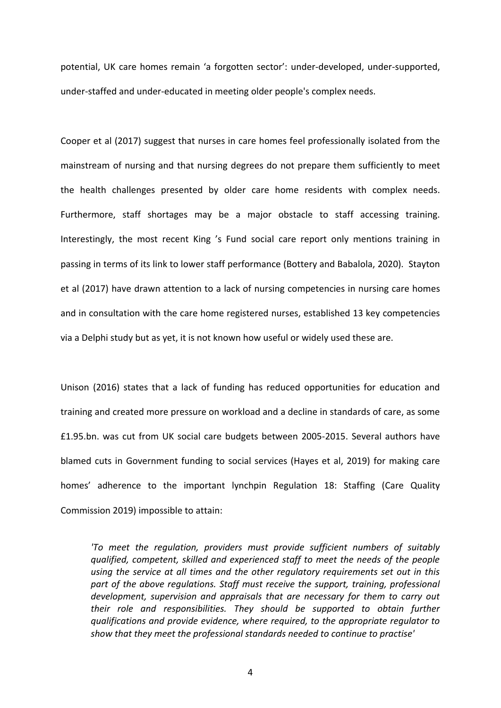potential, UK care homes remain 'a forgotten sector': under-developed, under-supported, under-staffed and under-educated in meeting older people's complex needs.

Cooper et al (2017) suggest that nurses in care homes feel professionally isolated from the mainstream of nursing and that nursing degrees do not prepare them sufficiently to meet the health challenges presented by older care home residents with complex needs. Furthermore, staff shortages may be a major obstacle to staff accessing training. Interestingly, the most recent King 's Fund social care report only mentions training in passing in terms of its link to lower staff performance (Bottery and Babalola, 2020). Stayton et al (2017) have drawn attention to a lack of nursing competencies in nursing care homes and in consultation with the care home registered nurses, established 13 key competencies via a Delphi study but as yet, it is not known how useful or widely used these are.

Unison (2016) states that a lack of funding has reduced opportunities for education and training and created more pressure on workload and a decline in standards of care, as some £1.95.bn. was cut from UK social care budgets between 2005-2015. Several authors have blamed cuts in Government funding to social services (Hayes et al, 2019) for making care homes' adherence to the important lynchpin Regulation 18: Staffing (Care Quality Commission 2019) impossible to attain:

*'To meet the regulation, providers must provide sufficient numbers of suitably qualified, competent, skilled and experienced staff to meet the needs of the people using the service at all times and the other regulatory requirements set out in this*  part of the above regulations. Staff must receive the support, training, professional *development, supervision and appraisals that are necessary for them to carry out their role and responsibilities. They should be supported to obtain further qualifications and provide evidence, where required, to the appropriate regulator to show that they meet the professional standards needed to continue to practise'*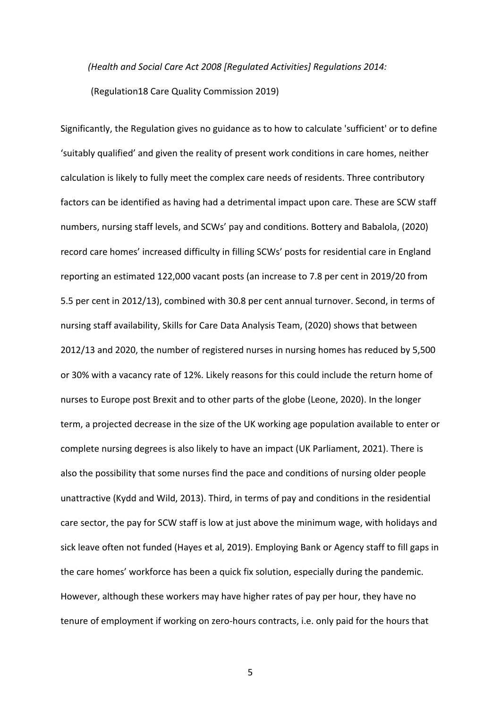*(Health and Social Care Act 2008 [Regulated Activities] Regulations 2014:*  (Regulation18 Care Quality Commission 2019)

Significantly, the Regulation gives no guidance as to how to calculate 'sufficient' or to define 'suitably qualified' and given the reality of present work conditions in care homes, neither calculation is likely to fully meet the complex care needs of residents. Three contributory factors can be identified as having had a detrimental impact upon care. These are SCW staff numbers, nursing staff levels, and SCWs' pay and conditions. Bottery and Babalola, (2020) record care homes' increased difficulty in filling SCWs' posts for residential care in England reporting an estimated 122,000 vacant posts (an increase to 7.8 per cent in 2019/20 from 5.5 per cent in 2012/13), combined with 30.8 per cent annual turnover. Second, in terms of nursing staff availability, Skills for Care Data Analysis Team, (2020) shows that between 2012/13 and 2020, the number of registered nurses in nursing homes has reduced by 5,500 or 30% with a vacancy rate of 12%. Likely reasons for this could include the return home of nurses to Europe post Brexit and to other parts of the globe (Leone, 2020). In the longer term, a projected decrease in the size of the UK working age population available to enter or complete nursing degrees is also likely to have an impact (UK Parliament, 2021). There is also the possibility that some nurses find the pace and conditions of nursing older people unattractive (Kydd and Wild, 2013). Third, in terms of pay and conditions in the residential care sector, the pay for SCW staff is low at just above the minimum wage, with holidays and sick leave often not funded (Hayes et al, 2019). Employing Bank or Agency staff to fill gaps in the care homes' workforce has been a quick fix solution, especially during the pandemic. However, although these workers may have higher rates of pay per hour, they have no tenure of employment if working on zero-hours contracts, i.e. only paid for the hours that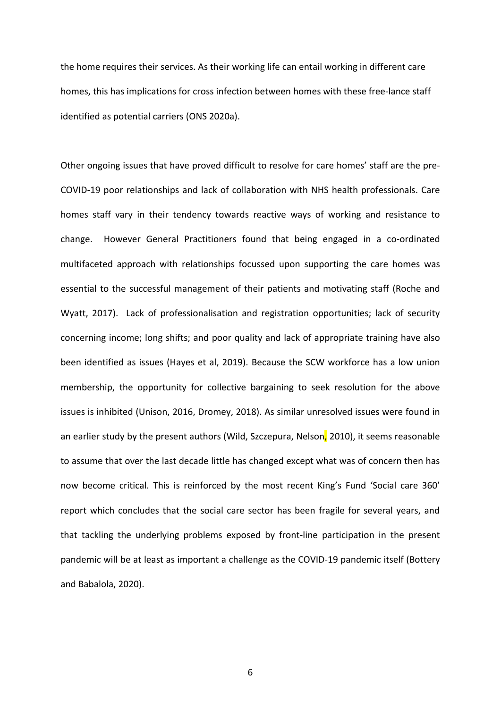the home requires their services. As their working life can entail working in different care homes, this has implications for cross infection between homes with these free-lance staff identified as potential carriers (ONS 2020a).

Other ongoing issues that have proved difficult to resolve for care homes' staff are the pre-COVID-19 poor relationships and lack of collaboration with NHS health professionals. Care homes staff vary in their tendency towards reactive ways of working and resistance to change. However General Practitioners found that being engaged in a co-ordinated multifaceted approach with relationships focussed upon supporting the care homes was essential to the successful management of their patients and motivating staff (Roche and Wyatt, 2017). Lack of professionalisation and registration opportunities; lack of security concerning income; long shifts; and poor quality and lack of appropriate training have also been identified as issues (Hayes et al, 2019). Because the SCW workforce has a low union membership, the opportunity for collective bargaining to seek resolution for the above issues is inhibited (Unison, 2016, Dromey, 2018). As similar unresolved issues were found in an earlier study by the present authors (Wild, Szczepura, Nelson, 2010), it seems reasonable to assume that over the last decade little has changed except what was of concern then has now become critical. This is reinforced by the most recent King's Fund 'Social care 360' report which concludes that the social care sector has been fragile for several years, and that tackling the underlying problems exposed by front-line participation in the present pandemic will be at least as important a challenge as the COVID-19 pandemic itself (Bottery and Babalola, 2020).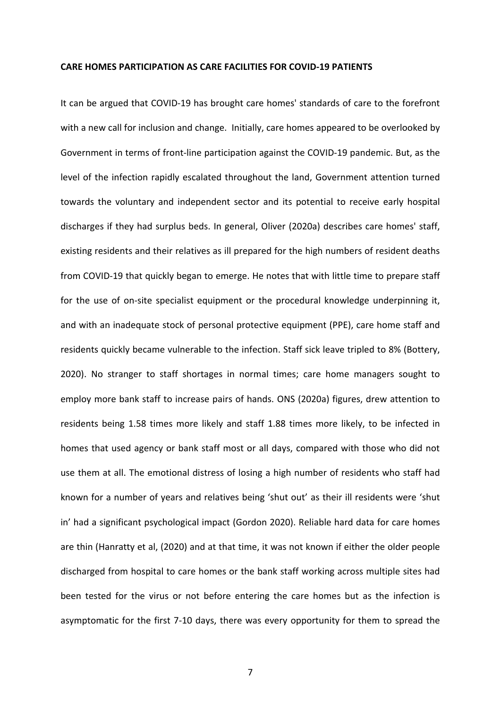#### **CARE HOMES PARTICIPATION AS CARE FACILITIES FOR COVID-19 PATIENTS**

It can be argued that COVID-19 has brought care homes' standards of care to the forefront with a new call for inclusion and change. Initially, care homes appeared to be overlooked by Government in terms of front-line participation against the COVID-19 pandemic. But, as the level of the infection rapidly escalated throughout the land, Government attention turned towards the voluntary and independent sector and its potential to receive early hospital discharges if they had surplus beds. In general, Oliver (2020a) describes care homes' staff, existing residents and their relatives as ill prepared for the high numbers of resident deaths from COVID-19 that quickly began to emerge. He notes that with little time to prepare staff for the use of on-site specialist equipment or the procedural knowledge underpinning it, and with an inadequate stock of personal protective equipment (PPE), care home staff and residents quickly became vulnerable to the infection. Staff sick leave tripled to 8% (Bottery, 2020). No stranger to staff shortages in normal times; care home managers sought to employ more bank staff to increase pairs of hands. ONS (2020a) figures, drew attention to residents being 1.58 times more likely and staff 1.88 times more likely, to be infected in homes that used agency or bank staff most or all days, compared with those who did not use them at all. The emotional distress of losing a high number of residents who staff had known for a number of years and relatives being 'shut out' as their ill residents were 'shut in' had a significant psychological impact (Gordon 2020). Reliable hard data for care homes are thin (Hanratty et al, (2020) and at that time, it was not known if either the older people discharged from hospital to care homes or the bank staff working across multiple sites had been tested for the virus or not before entering the care homes but as the infection is asymptomatic for the first 7-10 days, there was every opportunity for them to spread the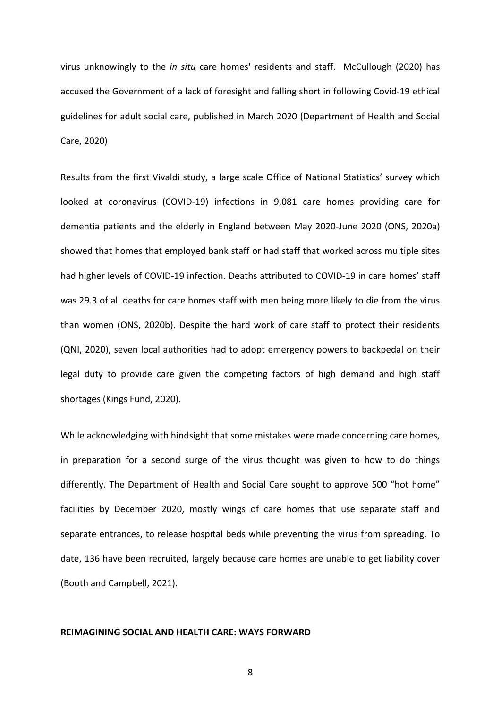virus unknowingly to the *in situ* care homes' residents and staff. McCullough (2020) has accused the Government of a lack of foresight and falling short in following Covid-19 ethical guidelines for adult social care, published in March 2020 (Department of Health and Social Care, 2020)

Results from the first Vivaldi study, a large scale Office of National Statistics' survey which looked at coronavirus (COVID-19) infections in 9,081 care homes providing care for dementia patients and the elderly in England between May 2020-June 2020 (ONS, 2020a) showed that homes that employed bank staff or had staff that worked across multiple sites had higher levels of COVID-19 infection. Deaths attributed to COVID-19 in care homes' staff was 29.3 of all deaths for care homes staff with men being more likely to die from the virus than women (ONS, 2020b). Despite the hard work of care staff to protect their residents (QNI, 2020), seven local authorities had to adopt emergency powers to backpedal on their legal duty to provide care given the competing factors of high demand and high staff shortages (Kings Fund, 2020).

While acknowledging with hindsight that some mistakes were made concerning care homes, in preparation for a second surge of the virus thought was given to how to do things differently. The Department of Health and Social Care sought to approve 500 "hot home" facilities by December 2020, mostly wings of care homes that use separate staff and separate entrances, to release hospital beds while preventing the virus from spreading. To date, 136 have been recruited, largely because care homes are unable to get liability cover (Booth and Campbell, 2021).

#### **REIMAGINING SOCIAL AND HEALTH CARE: WAYS FORWARD**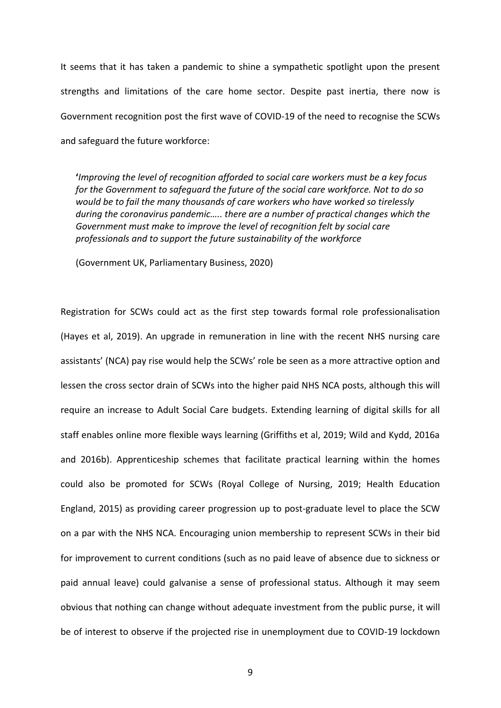It seems that it has taken a pandemic to shine a sympathetic spotlight upon the present strengths and limitations of the care home sector. Despite past inertia, there now is Government recognition post the first wave of COVID-19 of the need to recognise the SCWs and safeguard the future workforce:

**'***Improving the level of recognition afforded to social care workers must be a key focus for the Government to safeguard the future of the social care workforce. Not to do so would be to fail the many thousands of care workers who have worked so tirelessly during the coronavirus pandemic….. there are a number of practical changes which the Government must make to improve the level of recognition felt by social care professionals and to support the future sustainability of the workforce*

(Government UK, Parliamentary Business, 2020)

Registration for SCWs could act as the first step towards formal role professionalisation (Hayes et al, 2019). An upgrade in remuneration in line with the recent NHS nursing care assistants' (NCA) pay rise would help the SCWs' role be seen as a more attractive option and lessen the cross sector drain of SCWs into the higher paid NHS NCA posts, although this will require an increase to Adult Social Care budgets. Extending learning of digital skills for all staff enables online more flexible ways learning (Griffiths et al, 2019; Wild and Kydd, 2016a and 2016b). Apprenticeship schemes that facilitate practical learning within the homes could also be promoted for SCWs (Royal College of Nursing, 2019; Health Education England, 2015) as providing career progression up to post-graduate level to place the SCW on a par with the NHS NCA. Encouraging union membership to represent SCWs in their bid for improvement to current conditions (such as no paid leave of absence due to sickness or paid annual leave) could galvanise a sense of professional status. Although it may seem obvious that nothing can change without adequate investment from the public purse, it will be of interest to observe if the projected rise in unemployment due to COVID-19 lockdown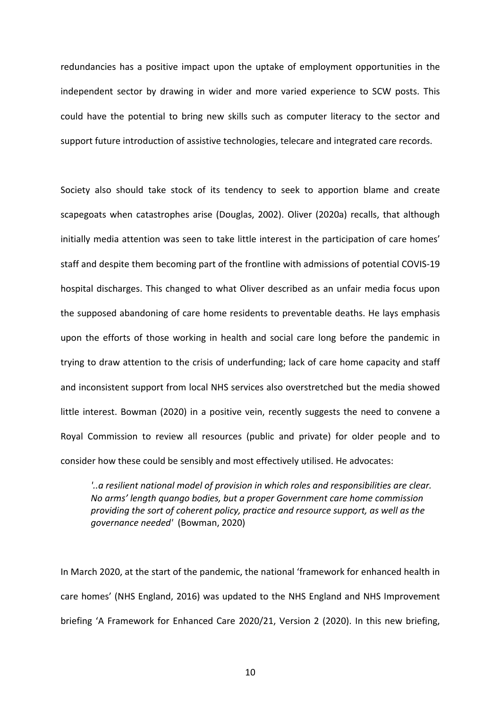redundancies has a positive impact upon the uptake of employment opportunities in the independent sector by drawing in wider and more varied experience to SCW posts. This could have the potential to bring new skills such as computer literacy to the sector and support future introduction of assistive technologies, telecare and integrated care records.

Society also should take stock of its tendency to seek to apportion blame and create scapegoats when catastrophes arise (Douglas, 2002). Oliver (2020a) recalls, that although initially media attention was seen to take little interest in the participation of care homes' staff and despite them becoming part of the frontline with admissions of potential COVIS-19 hospital discharges. This changed to what Oliver described as an unfair media focus upon the supposed abandoning of care home residents to preventable deaths. He lays emphasis upon the efforts of those working in health and social care long before the pandemic in trying to draw attention to the crisis of underfunding; lack of care home capacity and staff and inconsistent support from local NHS services also overstretched but the media showed little interest. Bowman (2020) in a positive vein, recently suggests the need to convene a Royal Commission to review all resources (public and private) for older people and to consider how these could be sensibly and most effectively utilised. He advocates:

*'..a resilient national model of provision in which roles and responsibilities are clear. No arms' length quango bodies, but a proper Government care home commission providing the sort of coherent policy, practice and resource support, as well as the governance needed'* (Bowman, 2020)

In March 2020, at the start of the pandemic, the national 'framework for enhanced health in care homes' (NHS England, 2016) was updated to the NHS England and NHS Improvement briefing 'A Framework for Enhanced Care 2020/21, Version 2 (2020). In this new briefing,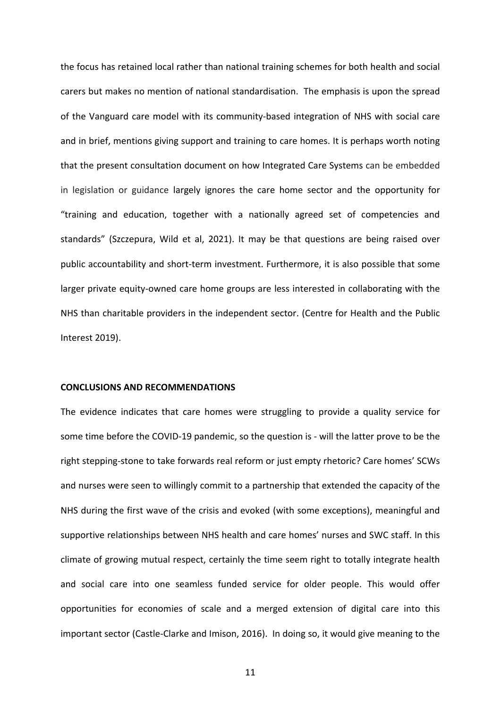the focus has retained local rather than national training schemes for both health and social carers but makes no mention of national standardisation. The emphasis is upon the spread of the Vanguard care model with its community-based integration of NHS with social care and in brief, mentions giving support and training to care homes. It is perhaps worth noting that the present consultation document on how Integrated Care Systems can be embedded in legislation or guidance largely ignores the care home sector and the opportunity for "training and education, together with a nationally agreed set of competencies and standards" (Szczepura, Wild et al, 2021). It may be that questions are being raised over public accountability and short-term investment. Furthermore, it is also possible that some larger private equity-owned care home groups are less interested in collaborating with the NHS than charitable providers in the independent sector. (Centre for Health and the Public Interest 2019).

#### **CONCLUSIONS AND RECOMMENDATIONS**

The evidence indicates that care homes were struggling to provide a quality service for some time before the COVID-19 pandemic, so the question is - will the latter prove to be the right stepping-stone to take forwards real reform or just empty rhetoric? Care homes' SCWs and nurses were seen to willingly commit to a partnership that extended the capacity of the NHS during the first wave of the crisis and evoked (with some exceptions), meaningful and supportive relationships between NHS health and care homes' nurses and SWC staff. In this climate of growing mutual respect, certainly the time seem right to totally integrate health and social care into one seamless funded service for older people. This would offer opportunities for economies of scale and a merged extension of digital care into this important sector (Castle-Clarke and Imison, 2016). In doing so, it would give meaning to the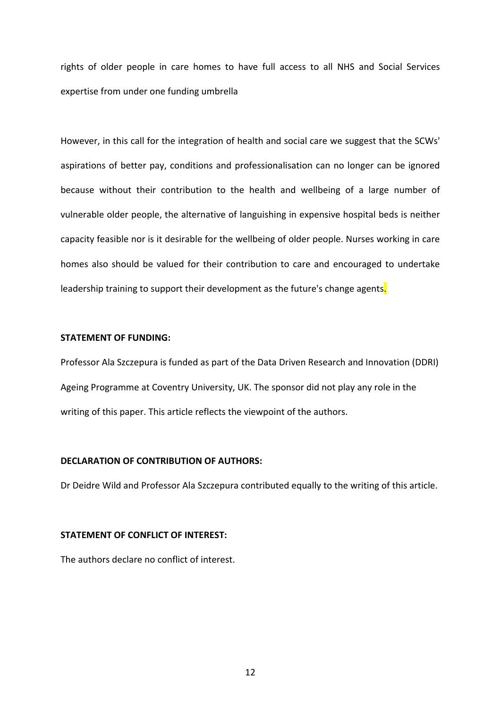rights of older people in care homes to have full access to all NHS and Social Services expertise from under one funding umbrella

However, in this call for the integration of health and social care we suggest that the SCWs' aspirations of better pay, conditions and professionalisation can no longer can be ignored because without their contribution to the health and wellbeing of a large number of vulnerable older people, the alternative of languishing in expensive hospital beds is neither capacity feasible nor is it desirable for the wellbeing of older people. Nurses working in care homes also should be valued for their contribution to care and encouraged to undertake leadership training to support their development as the future's change agents.

#### **STATEMENT OF FUNDING:**

Professor Ala Szczepura is funded as part of the Data Driven Research and Innovation (DDRI) Ageing Programme at Coventry University, UK. The sponsor did not play any role in the writing of this paper. This article reflects the viewpoint of the authors.

#### **DECLARATION OF CONTRIBUTION OF AUTHORS:**

Dr Deidre Wild and Professor Ala Szczepura contributed equally to the writing of this article.

#### **STATEMENT OF CONFLICT OF INTEREST:**

The authors declare no conflict of interest.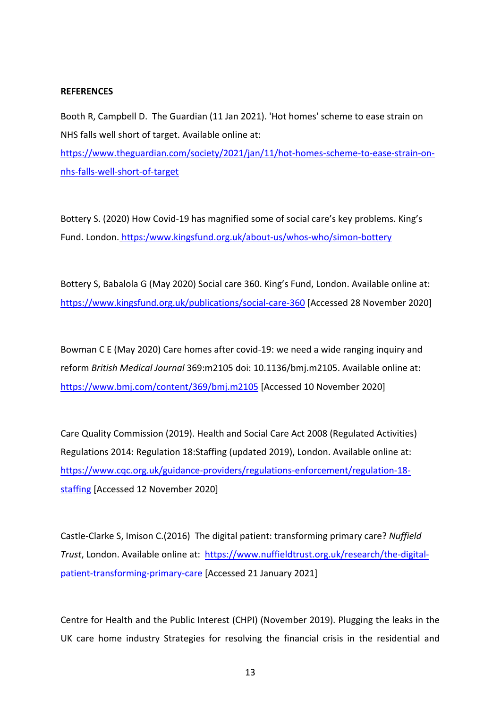#### **REFERENCES**

Booth R, Campbell D. The Guardian (11 Jan 2021). 'Hot homes' scheme to ease strain on NHS falls well short of target. Available online at: [https://www.theguardian.com/society/2021/jan/11/hot-homes-scheme-to-ease-strain-on](https://www.theguardian.com/society/2021/jan/11/hot-homes-scheme-to-ease-strain-on-nhs-falls-well-short-of-target)[nhs-falls-well-short-of-target](https://www.theguardian.com/society/2021/jan/11/hot-homes-scheme-to-ease-strain-on-nhs-falls-well-short-of-target)

Bottery S. (2020) How Covid-19 has magnified some of social care's key problems. King's Fund. London. https:/www.kingsfund.org.uk/about-us/whos-who/simon-bottery

Bottery S, Babalola G (May 2020) Social care 360. King's Fund, London. Available online at: <https://www.kingsfund.org.uk/publications/social-care-360> [Accessed 28 November 2020]

Bowman C E (May 2020) Care homes after covid-19: we need a wide ranging inquiry and reform *British Medical Journal* 369:m2105 doi: 10.1136/bmj.m2105. Available online at: Ava <https://www.bmj.com/content/369/bmj.m2105> [Accessed 10 November 2020]

Care Quality Commission (2019). Health and Social Care Act 2008 (Regulated Activities) Regulations 2014: Regulation 18:Staffing (updated 2019), London. Available online at: [https://www.cqc.org.uk/guidance-providers/regulations-enforcement/regulation-18](https://www.cqc.org.uk/guidance-providers/regulations-enforcement/regulation-18-staffing) [staffing](https://www.cqc.org.uk/guidance-providers/regulations-enforcement/regulation-18-staffing) [Accessed 12 November 2020]

Castle-Clarke S, Imison C.(2016) The digital patient: transforming primary care? *Nuffield Trust*, London. Available online at: [https://www.nuffieldtrust.org.uk/research/the-digital](https://www.nuffieldtrust.org.uk/research/the-digital-patient-transforming-primary-care)[patient-transforming-primary-care](https://www.nuffieldtrust.org.uk/research/the-digital-patient-transforming-primary-care) [Accessed 21 January 2021]

Centre for Health and the Public Interest (CHPI) (November 2019). Plugging the leaks in the UK care home industry Strategies for resolving the financial crisis in the residential and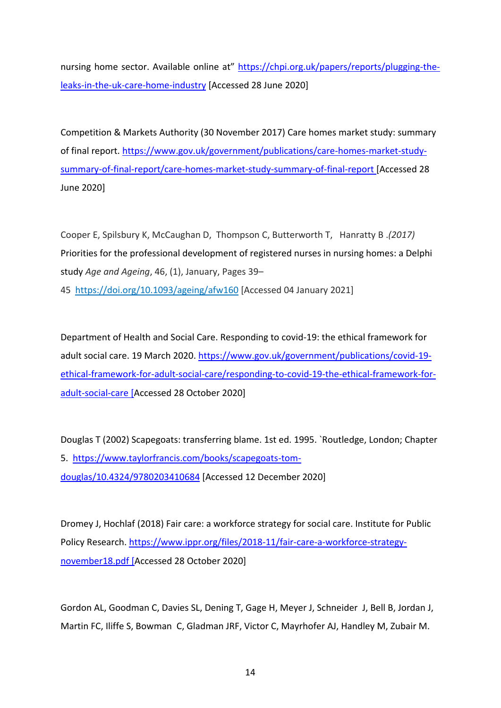nursing home sector. Available online at" [https://chpi.org.uk/papers/reports/plugging-the](https://chpi.org.uk/papers/reports/plugging-the-leaks-in-the-uk-care-home-industry)[leaks-in-the-uk-care-home-industry](https://chpi.org.uk/papers/reports/plugging-the-leaks-in-the-uk-care-home-industry) [Accessed 28 June 2020]

Competition & Markets Authority (30 November 2017) Care homes market study: summary of final report. [https://www.gov.uk/government/publications/care-homes-market-study](https://www.gov.uk/government/publications/care-homes-market-study-summary-of-final-report/care-homes-market-study-summary-of-final-report)[summary-of-final-report/care-homes-market-study-summary-of-final-report](https://www.gov.uk/government/publications/care-homes-market-study-summary-of-final-report/care-homes-market-study-summary-of-final-report) [Accessed 28 June 2020]

Cooper E, Spilsbury K, McCaughan D, Thompson C, Butterworth T, Hanratty B .*(2017)* Priorities for the professional development of registered nurses in nursing homes: a Delphi study *Age and Ageing*, 46, (1), January, Pages 39–

45 <https://doi.org/10.1093/ageing/afw160> [Accessed 04 January 2021]

Department of Health and Social Care. Responding to covid-19: the ethical framework for adult social care. 19 March 2020. [https://www.gov.uk/government/publications/covid-19](https://www.gov.uk/government/publications/covid-19-ethical-framework-for-adult-social-care/responding-to-covid-19-the-ethical-framework-for-adult-social-care) [ethical-framework-for-adult-social-care/responding-to-covid-19-the-ethical-framework-for](https://www.gov.uk/government/publications/covid-19-ethical-framework-for-adult-social-care/responding-to-covid-19-the-ethical-framework-for-adult-social-care)[adult-social-care](https://www.gov.uk/government/publications/covid-19-ethical-framework-for-adult-social-care/responding-to-covid-19-the-ethical-framework-for-adult-social-care) [Accessed 28 October 2020]

Douglas T (2002) Scapegoats: transferring blame. 1st ed. 1995. `Routledge, London; Chapter 5. [https://www.taylorfrancis.com/books/scapegoats-tom](https://www.taylorfrancis.com/books/scapegoats-tom-douglas/10.4324/9780203410684)[douglas/10.4324/9780203410684](https://www.taylorfrancis.com/books/scapegoats-tom-douglas/10.4324/9780203410684) [Accessed 12 December 2020]

Dromey J, Hochlaf (2018) Fair care: a workforce strategy for social care. Institute for Public Policy Research. [https://www.ippr.org/files/2018-11/fair-care-a-workforce-strategy](https://www.ippr.org/files/2018-11/fair-care-a-workforce-strategy-november18.pdf)[november18.pdf](https://www.ippr.org/files/2018-11/fair-care-a-workforce-strategy-november18.pdf) [Accessed 28 October 2020]

Gordon AL, Goodman C, Davies SL, Dening T, Gage H, Meyer J, Schneider J, Bell B, Jordan J, Martin FC, Iliffe S, Bowman C, Gladman JRF, Victor C, Mayrhofer AJ, Handley M, Zubair M.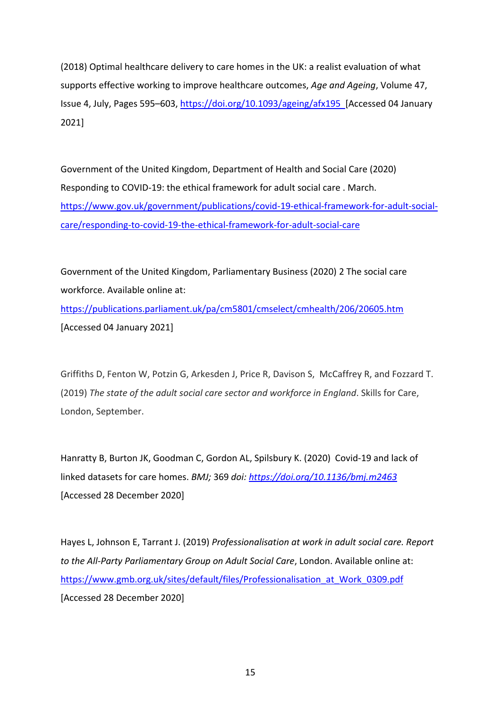(2018) Optimal healthcare delivery to care homes in the UK: a realist evaluation of what supports effective working to improve healthcare outcomes, *Age and Ageing*, Volume 47, Issue 4, July, Pages 595–603,<https://doi.org/10.1093/ageing/afx195>[Accessed 04 January 2021]

Government of the United Kingdom, Department of Health and Social Care (2020) Responding to COVID-19: the ethical framework for adult social care . March. [https://www.gov.uk/government/publications/covid-19-ethical-framework-for-adult-social](https://www.gov.uk/government/publications/covid-19-ethical-framework-for-adult-social-care/responding-to-covid-19-the-ethical-framework-for-adult-social-care)[care/responding-to-covid-19-the-ethical-framework-for-adult-social-care](https://www.gov.uk/government/publications/covid-19-ethical-framework-for-adult-social-care/responding-to-covid-19-the-ethical-framework-for-adult-social-care)

Government of the United Kingdom, Parliamentary Business (2020) 2 The social care workforce. Available online at: <https://publications.parliament.uk/pa/cm5801/cmselect/cmhealth/206/20605.htm> [Accessed 04 January 2021]

Griffiths D, Fenton W, Potzin G, Arkesden J, Price R, Davison S, McCaffrey R, and Fozzard T. (2019) *The state of the adult social care sector and workforce in England*. Skills for Care, London, September.

Hanratty B, Burton JK, Goodman C, Gordon AL, Spilsbury K. (2020) Covid-19 and lack of linked datasets for care homes. *BMJ;* 369 *doi:<https://doi.org/10.1136/bmj.m2463>* [Accessed 28 December 2020]

Hayes L, Johnson E, Tarrant J. (2019) *Professionalisation at work in adult social care. Report to the All-Party Parliamentary Group on Adult Social Care*, London. Available online at: [https://www.gmb.org.uk/sites/default/files/Professionalisation\\_at\\_Work\\_0309.pdf](https://www.gmb.org.uk/sites/default/files/Professionalisation_at_Work_0309.pdf) [Accessed 28 December 2020]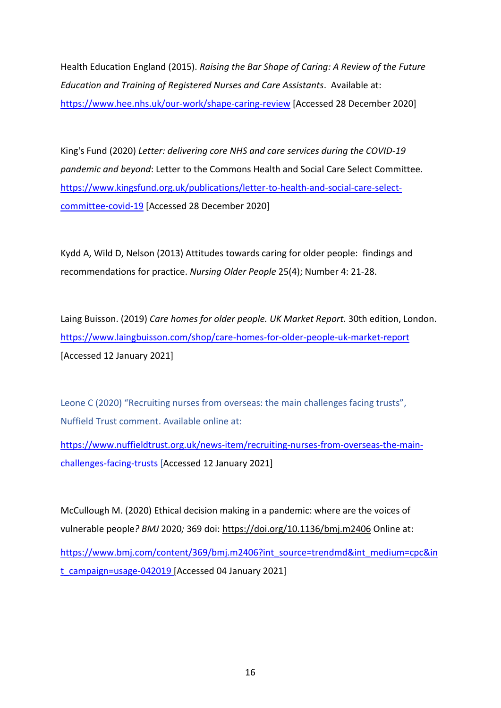Health Education England (2015). *Raising the Bar Shape of Caring: A Review of the Future Education and Training of Registered Nurses and Care Assistants*. Available at: <https://www.hee.nhs.uk/our-work/shape-caring-review> [Accessed 28 December 2020]

King's Fund (2020) *Letter: delivering core NHS and care services during the COVID-19 pandemic and beyond*: Letter to the Commons Health and Social Care Select Committee. [https://www.kingsfund.org.uk/publications/letter-to-health-and-social-care-select](https://www.kingsfund.org.uk/publications/letter-to-health-and-social-care-select-committee-covid-19)[committee-covid-19](https://www.kingsfund.org.uk/publications/letter-to-health-and-social-care-select-committee-covid-19) [Accessed 28 December 2020]

Kydd A, Wild D, Nelson (2013) Attitudes towards caring for older people: findings and recommendations for practice. *Nursing Older People* 25(4); Number 4: 21-28.

Laing Buisson. (2019) *Care homes for older people. UK Market Report.* 30th edition, London. <https://www.laingbuisson.com/shop/care-homes-for-older-people-uk-market-report> [Accessed 12 January 2021]

Leone C (2020) "Recruiting nurses from overseas: the main challenges facing trusts", Nuffield Trust comment. Available online at:

[https://www.nuffieldtrust.org.uk/news-item/recruiting-nurses-from-overseas-the-main](https://www.nuffieldtrust.org.uk/news-item/recruiting-nurses-from-overseas-the-main-challenges-facing-trusts)[challenges-facing-trusts](https://www.nuffieldtrust.org.uk/news-item/recruiting-nurses-from-overseas-the-main-challenges-facing-trusts) [Accessed 12 January 2021]

McCullough M. (2020) Ethical decision making in a pandemic: where are the voices of vulnerable people*? BMJ* 2020*;* 369 doi:<https://doi.org/10.1136/bmj.m2406> Online at: [https://www.bmj.com/content/369/bmj.m2406?int\\_source=trendmd&int\\_medium=cpc&in](https://www.bmj.com/content/369/bmj.m2406?int_source=trendmd&int_medium=cpc&int_campaign=usage-042019) [t\\_campaign=usage-042019](https://www.bmj.com/content/369/bmj.m2406?int_source=trendmd&int_medium=cpc&int_campaign=usage-042019) [Accessed 04 January 2021]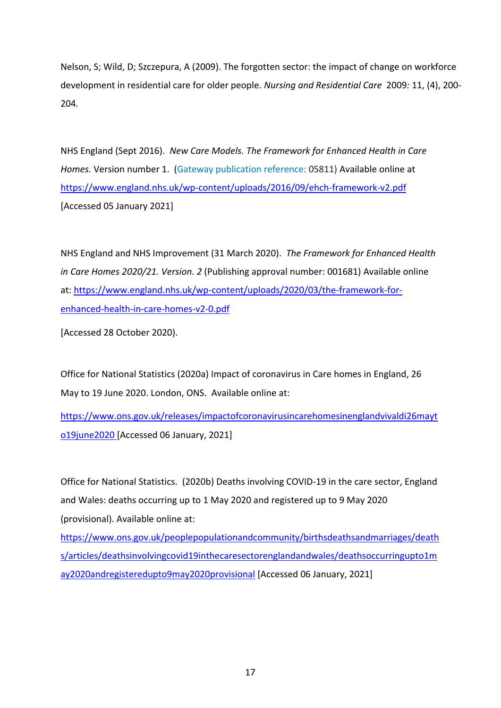Nelson, S; Wild, D; Szczepura, A (2009). The forgotten sector: the impact of change on workforce development in residential care for older people. *Nursing and Residential Care* 2009*:* 11, (4), 200- 204*.*

NHS England (Sept 2016). *New Care Models. The Framework for Enhanced Health in Care Homes.* Version number 1. (Gateway publication reference: 05811) Available online at <https://www.england.nhs.uk/wp-content/uploads/2016/09/ehch-framework-v2.pdf> [Accessed 05 January 2021]

NHS England and NHS Improvement (31 March 2020). *The Framework for Enhanced Health in Care Homes 2020/21. Version. 2* (Publishing approval number: 001681) Available online at: [https://www.england.nhs.uk/wp-content/uploads/2020/03/the-framework-for](https://www.england.nhs.uk/wp-content/uploads/2020/03/the-framework-for-enhanced-health-in-care-homes-v2-0.pdf)[enhanced-health-in-care-homes-v2-0.pdf](https://www.england.nhs.uk/wp-content/uploads/2020/03/the-framework-for-enhanced-health-in-care-homes-v2-0.pdf)

[Accessed 28 October 2020).

Office for National Statistics (2020a) Impact of coronavirus in Care homes in England, 26 May to 19 June 2020. London, ONS. Available online at:

[https://www.ons.gov.uk/releases/impactofcoronavirusincarehomesinenglandvivaldi26mayt](https://www.ons.gov.uk/releases/impactofcoronavirusincarehomesinenglandvivaldi26mayto19june2020) [o19june2020](https://www.ons.gov.uk/releases/impactofcoronavirusincarehomesinenglandvivaldi26mayto19june2020) [Accessed 06 January, 2021]

Office for National Statistics. (2020b) Deaths involving COVID-19 in the care sector, England and Wales: deaths occurring up to 1 May 2020 and registered up to 9 May 2020 (provisional). Available online at:

[https://www.ons.gov.uk/peoplepopulationandcommunity/birthsdeathsandmarriages/death](https://www.ons.gov.uk/peoplepopulationandcommunity/birthsdeathsandmarriages/deaths/articles/deathsinvolvingcovid19inthecaresectorenglandandwales/deathsoccurringupto1may2020andregisteredupto9may2020provisional) [s/articles/deathsinvolvingcovid19inthecaresectorenglandandwales/deathsoccurringupto1m](https://www.ons.gov.uk/peoplepopulationandcommunity/birthsdeathsandmarriages/deaths/articles/deathsinvolvingcovid19inthecaresectorenglandandwales/deathsoccurringupto1may2020andregisteredupto9may2020provisional) [ay2020andregisteredupto9may2020provisional](https://www.ons.gov.uk/peoplepopulationandcommunity/birthsdeathsandmarriages/deaths/articles/deathsinvolvingcovid19inthecaresectorenglandandwales/deathsoccurringupto1may2020andregisteredupto9may2020provisional) [Accessed 06 January, 2021]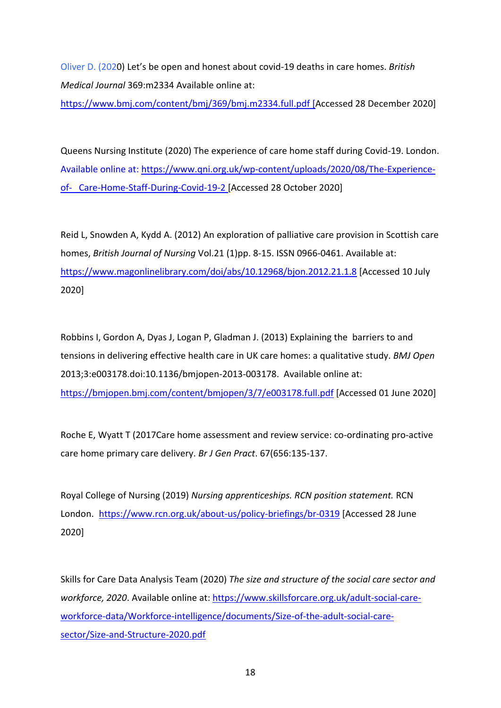Oliver D. (2020) Let's be open and honest about covid-19 deaths in care homes. *British Medical Journal* 369:m2334 Available online at:

<https://www.bmj.com/content/bmj/369/bmj.m2334.full.pdf> [Accessed 28 December 2020]

Queens Nursing Institute (2020) The experience of care home staff during Covid-19. London. Available online at: [https://www.qni.org.uk/wp-content/uploads/2020/08/The-Experience](https://www.qni.org.uk/wp-content/uploads/2020/08/The-Experience-of-%20%20%20Care-Home-Staff-During-Covid-19-2)[of- Care-Home-Staff-During-Covid-19-2](https://www.qni.org.uk/wp-content/uploads/2020/08/The-Experience-of-%20%20%20Care-Home-Staff-During-Covid-19-2) [Accessed 28 October 2020]

Reid L, Snowden A, Kydd A. (2012) An exploration of palliative care provision in Scottish care homes, *British Journal of Nursing* Vol.21 (1)pp. 8-15. ISSN 0966-0461. Available at: <https://www.magonlinelibrary.com/doi/abs/10.12968/bjon.2012.21.1.8> [Accessed 10 July 2020]

Robbins I, Gordon A, Dyas J, Logan P, Gladman J. (2013) Explaining the barriers to and tensions in delivering effective health care in UK care homes: a qualitative study. *BMJ Open* 2013;3:e003178.doi:10.1136/bmjopen-2013-003178. Available online at: <https://bmjopen.bmj.com/content/bmjopen/3/7/e003178.full.pdf> [Accessed 01 June 2020]

Roche E, Wyatt T (2017Care home assessment and review service: co-ordinating pro-active care home primary care delivery. *Br J Gen Pract*. 67(656:135-137.

Royal College of Nursing (2019) *Nursing apprenticeships. RCN position statement.* RCN London. https://www.rcn.org.uk/about-us/policy-briefings/br-0319 [Accessed 28 June 2020]

Skills for Care Data Analysis Team (2020) *The size and structure of the social care sector and workforce, 2020*. Available online at: [https://www.skillsforcare.org.uk/adult-social-care](https://www.skillsforcare.org.uk/adult-social-care-workforce-data/Workforce-intelligence/documents/Size-of-the-adult-social-care-sector/Size-and-Structure-2020.pdf)[workforce-data/Workforce-intelligence/documents/Size-of-the-adult-social-care](https://www.skillsforcare.org.uk/adult-social-care-workforce-data/Workforce-intelligence/documents/Size-of-the-adult-social-care-sector/Size-and-Structure-2020.pdf)[sector/Size-and-Structure-2020.pdf](https://www.skillsforcare.org.uk/adult-social-care-workforce-data/Workforce-intelligence/documents/Size-of-the-adult-social-care-sector/Size-and-Structure-2020.pdf)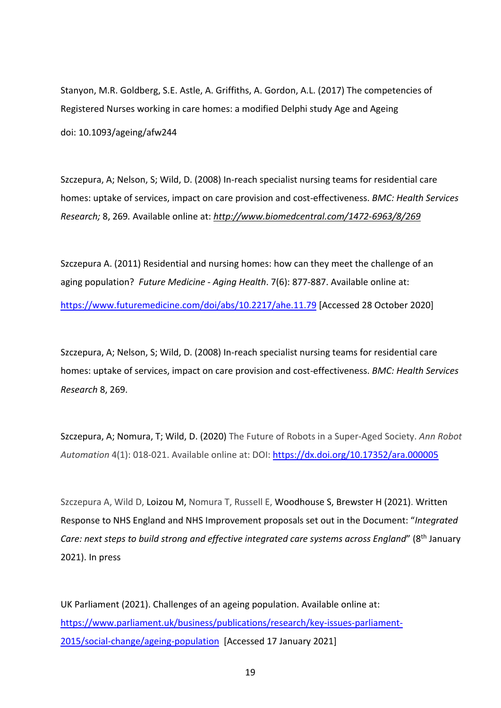Stanyon, M.R. Goldberg, S.E. Astle, A. Griffiths, A. Gordon, A.L. (2017) The competencies of Registered Nurses working in care homes: a modified Delphi study Age and Ageing doi: 10.1093/ageing/afw244

Szczepura, A; Nelson, S; Wild, D. (2008) In-reach specialist nursing teams for residential care homes: uptake of services, impact on care provision and cost-effectiveness. *BMC: Health Services Research;* 8, 269*.* Available online at: *<http://www.biomedcentral.com/1472-6963/8/269>*

Szczepura A. (2011) Residential and nursing homes: how can they meet the challenge of an aging population? *Future Medicine - Aging Health*. 7(6): 877-887. Available online at: <https://www.futuremedicine.com/doi/abs/10.2217/ahe.11.79> [Accessed 28 October 2020]

Szczepura, A; Nelson, S; Wild, D. (2008) In-reach specialist nursing teams for residential care homes: uptake of services, impact on care provision and cost-effectiveness. *BMC: Health Services Research* 8, 269.

Szczepura, A; Nomura, T; Wild, D. (2020) The Future of Robots in a Super-Aged Society. *Ann Robot Automation* 4(1): 018-021. Available online at: DOI:<https://dx.doi.org/10.17352/ara.000005>

Szczepura A, Wild D, Loizou M, Nomura T, Russell E, Woodhouse S, Brewster H (2021). Written Response to NHS England and NHS Improvement proposals set out in the Document: "*Integrated Care: next steps to build strong and effective integrated care systems across England*" (8th January 2021). In press

UK Parliament (2021). Challenges of an ageing population. Available online at: [https://www.parliament.uk/business/publications/research/key-issues-parliament-](https://www.parliament.uk/business/publications/research/key-issues-parliament-2015/social-change/ageing-population)[2015/social-change/ageing-population](https://www.parliament.uk/business/publications/research/key-issues-parliament-2015/social-change/ageing-population)[Accessed 17 January 2021]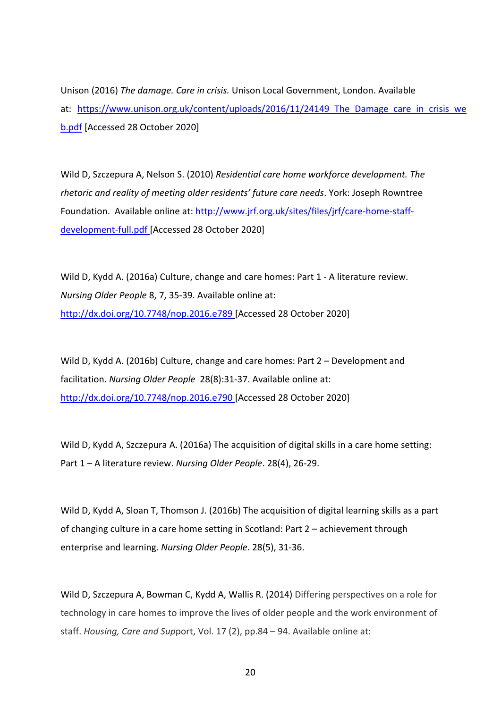Unison (2016) *The damage. Care in crisis.* Unison Local Government, London. Available at: https://www.unison.org.uk/content/uploads/2016/11/24149 The Damage care in crisis we [b.pdf](https://www.unison.org.uk/content/uploads/2016/11/24149_The_Damage_care_in_crisis_web.pdf) [Accessed 28 October 2020]

Wild D, Szczepura A, Nelson S. (2010) *Residential care home workforce development. The rhetoric and reality of meeting older residents' future care needs*. York: Joseph Rowntree Foundation. Available online at: [http://www.jrf.org.uk/sites/files/jrf/care-home-staff](http://www.jrf.org.uk/sites/files/jrf/care-home-staff-development-full.pdf)[development-full.pdf](http://www.jrf.org.uk/sites/files/jrf/care-home-staff-development-full.pdf) [Accessed 28 October 2020]

Wild D, Kydd A. (2016a) Culture, change and care homes: Part 1 - A literature review. *Nursing Older People* 8, 7, 35-39. Available online at: <http://dx.doi.org/10.7748/nop.2016.e789> [Accessed 28 October 2020]

Wild D, Kydd A. (2016b) Culture, change and care homes: Part 2 – Development and facilitation. *Nursing Older People* 28(8):31-37. Available online at: <http://dx.doi.org/10.7748/nop.2016.e790> [Accessed 28 October 2020]

Wild D, Kydd A, Szczepura A. (2016a) The acquisition of digital skills in a care home setting: Part 1 – A literature review. *Nursing Older People*. 28(4), 26-29.

Wild D, Kydd A, Sloan T, Thomson J. (2016b) The acquisition of digital learning skills as a part of changing culture in a care home setting in Scotland: Part 2 – achievement through enterprise and learning. *Nursing Older People*. 28(5), 31-36.

Wild D, Szczepura A, Bowman C, Kydd A, Wallis R. (2014) Differing perspectives on a role for technology in care homes to improve the lives of older people and the work environment of staff. *Housing, Care and Sup*port, Vol. 17 (2), pp.84 – 94. Available online at: